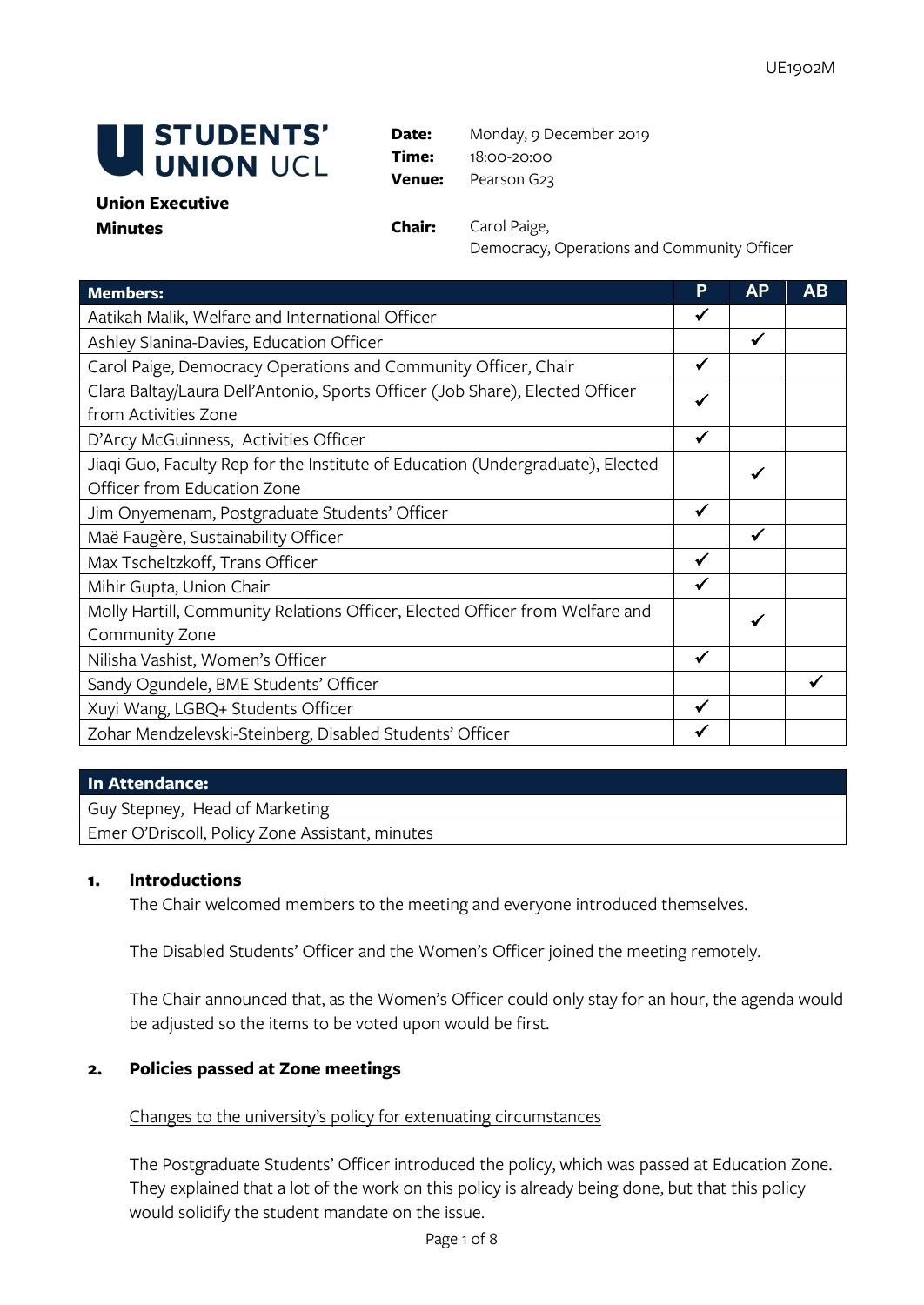

**Date:** Monday, 9 December 2019 **Time:** 18:00-20:00 **Venue:** Pearson G23

#### **Union Executive Minutes Chair:** Carol Paige,

Democracy, Operations and Community Officer

| <b>Members:</b>                                                                | P            | <b>AP</b> | <b>AB</b> |
|--------------------------------------------------------------------------------|--------------|-----------|-----------|
| Aatikah Malik, Welfare and International Officer                               |              |           |           |
| Ashley Slanina-Davies, Education Officer                                       |              | ✔         |           |
| Carol Paige, Democracy Operations and Community Officer, Chair                 |              |           |           |
| Clara Baltay/Laura Dell'Antonio, Sports Officer (Job Share), Elected Officer   |              |           |           |
| from Activities Zone                                                           |              |           |           |
| D'Arcy McGuinness, Activities Officer                                          | ✔            |           |           |
| Jiaqi Guo, Faculty Rep for the Institute of Education (Undergraduate), Elected |              |           |           |
| Officer from Education Zone                                                    |              |           |           |
| Jim Onyemenam, Postgraduate Students' Officer                                  | $\checkmark$ |           |           |
| Maë Faugère, Sustainability Officer                                            |              | ✓         |           |
| Max Tscheltzkoff, Trans Officer                                                | $\checkmark$ |           |           |
| Mihir Gupta, Union Chair                                                       | $\checkmark$ |           |           |
| Molly Hartill, Community Relations Officer, Elected Officer from Welfare and   |              |           |           |
| Community Zone                                                                 |              |           |           |
| Nilisha Vashist, Women's Officer                                               | ✔            |           |           |
| Sandy Ogundele, BME Students' Officer                                          |              |           |           |
| Xuyi Wang, LGBQ+ Students Officer                                              | ✓            |           |           |
| Zohar Mendzelevski-Steinberg, Disabled Students' Officer                       |              |           |           |

#### **In Attendance:**

Guy Stepney, Head of Marketing

Emer O'Driscoll, Policy Zone Assistant, minutes

#### **1. Introductions**

The Chair welcomed members to the meeting and everyone introduced themselves.

The Disabled Students' Officer and the Women's Officer joined the meeting remotely.

The Chair announced that, as the Women's Officer could only stay for an hour, the agenda would be adjusted so the items to be voted upon would be first.

### **2. Policies passed at Zone meetings**

### Changes to the university's policy for extenuating circumstances

The Postgraduate Students' Officer introduced the policy, which was passed at Education Zone. They explained that a lot of the work on this policy is already being done, but that this policy would solidify the student mandate on the issue.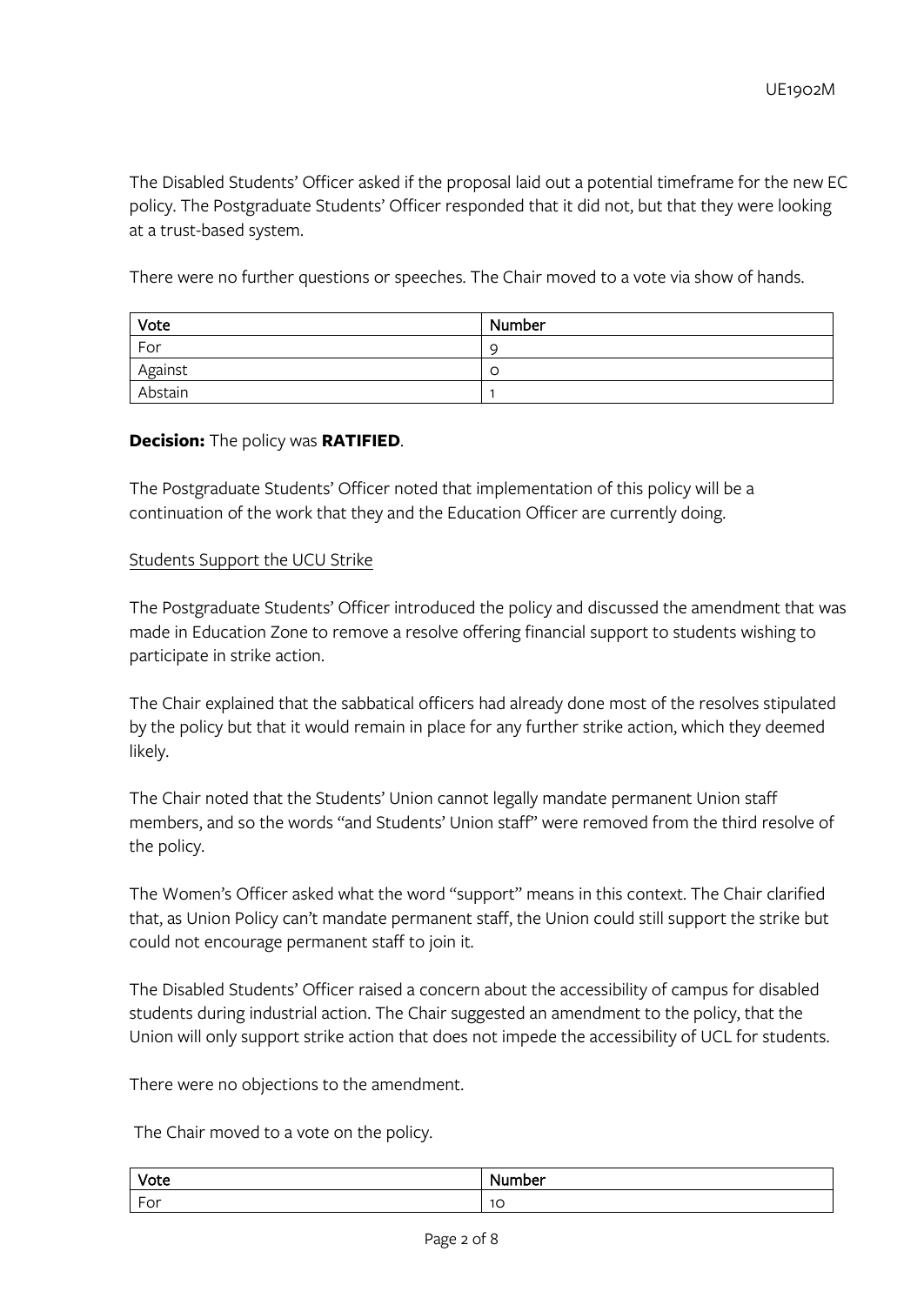The Disabled Students' Officer asked if the proposal laid out a potential timeframe for the new EC policy. The Postgraduate Students' Officer responded that it did not, but that they were looking at a trust-based system.

There were no further questions or speeches. The Chair moved to a vote via show of hands.

| Vote    | Number   |
|---------|----------|
| For     | <b>C</b> |
| Against | -C       |
| Abstain |          |

### **Decision:** The policy was **RATIFIED**.

The Postgraduate Students' Officer noted that implementation of this policy will be a continuation of the work that they and the Education Officer are currently doing.

#### Students Support the UCU Strike

The Postgraduate Students' Officer introduced the policy and discussed the amendment that was made in Education Zone to remove a resolve offering financial support to students wishing to participate in strike action.

The Chair explained that the sabbatical officers had already done most of the resolves stipulated by the policy but that it would remain in place for any further strike action, which they deemed likely.

The Chair noted that the Students' Union cannot legally mandate permanent Union staff members, and so the words "and Students' Union staff" were removed from the third resolve of the policy.

The Women's Officer asked what the word "support" means in this context. The Chair clarified that, as Union Policy can't mandate permanent staff, the Union could still support the strike but could not encourage permanent staff to join it.

The Disabled Students' Officer raised a concern about the accessibility of campus for disabled students during industrial action. The Chair suggested an amendment to the policy, that the Union will only support strike action that does not impede the accessibility of UCL for students.

There were no objections to the amendment.

The Chair moved to a vote on the policy.

| Vote                                 | nber<br>N.                    |
|--------------------------------------|-------------------------------|
| $\overline{a}$<br>$\sim$<br>-<br>'∪i | $\overline{\phantom{0}}$<br>◡ |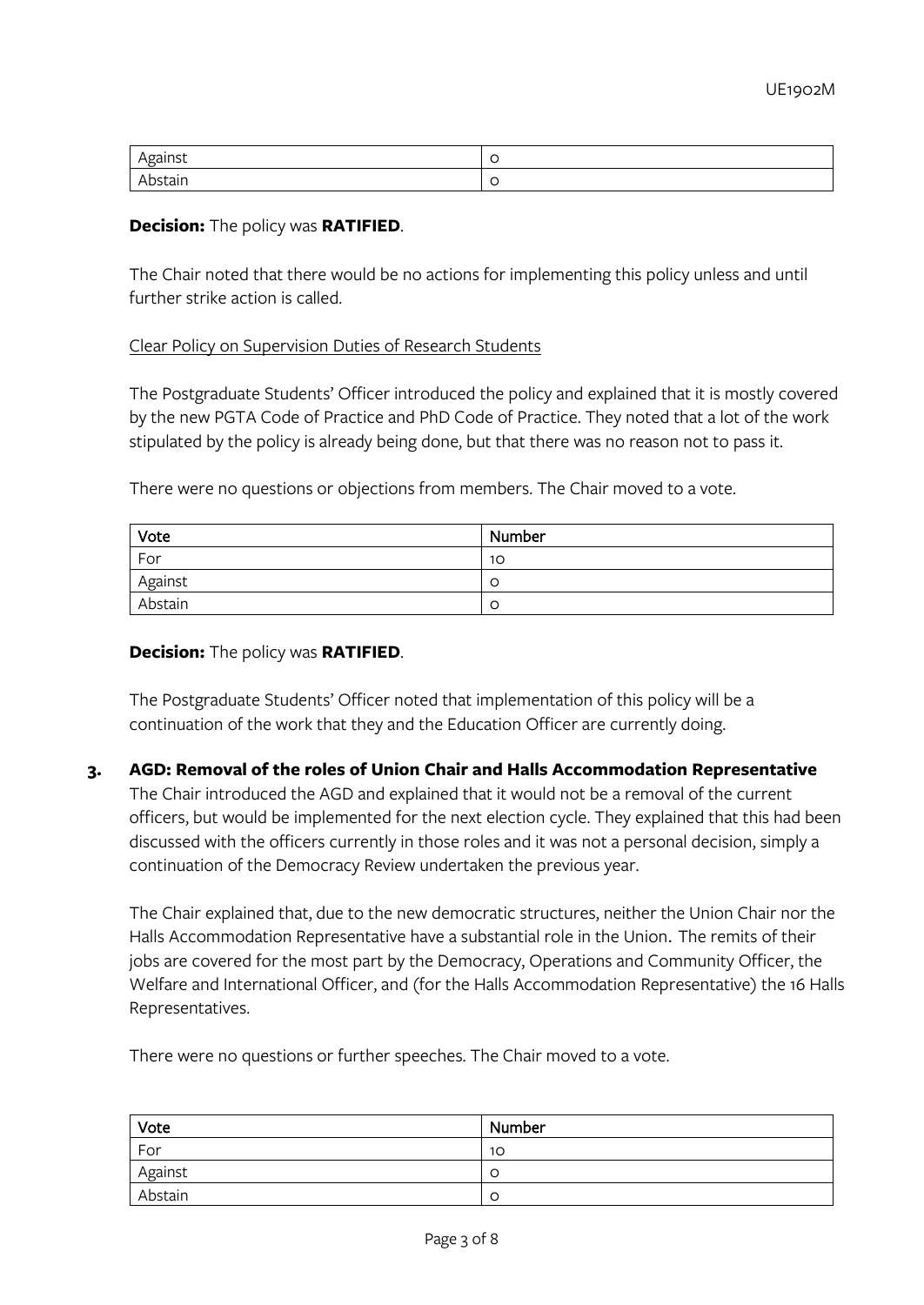| ----- |  |
|-------|--|
| au    |  |

#### **Decision:** The policy was **RATIFIED**.

The Chair noted that there would be no actions for implementing this policy unless and until further strike action is called.

#### Clear Policy on Supervision Duties of Research Students

The Postgraduate Students' Officer introduced the policy and explained that it is mostly covered by the new PGTA Code of Practice and PhD Code of Practice. They noted that a lot of the work stipulated by the policy is already being done, but that there was no reason not to pass it.

There were no questions or objections from members. The Chair moved to a vote.

| Vote    | Number |
|---------|--------|
| For     | 10     |
| Against | C      |
| Abstain | C      |

#### **Decision:** The policy was **RATIFIED**.

The Postgraduate Students' Officer noted that implementation of this policy will be a continuation of the work that they and the Education Officer are currently doing.

#### **3. AGD: Removal of the roles of Union Chair and Halls Accommodation Representative**

The Chair introduced the AGD and explained that it would not be a removal of the current officers, but would be implemented for the next election cycle. They explained that this had been discussed with the officers currently in those roles and it was not a personal decision, simply a continuation of the Democracy Review undertaken the previous year.

The Chair explained that, due to the new democratic structures, neither the Union Chair nor the Halls Accommodation Representative have a substantial role in the Union. The remits of their jobs are covered for the most part by the Democracy, Operations and Community Officer, the Welfare and International Officer, and (for the Halls Accommodation Representative) the 16 Halls Representatives.

There were no questions or further speeches. The Chair moved to a vote.

| Vote    | Number          |
|---------|-----------------|
| For     | 10 <sup>°</sup> |
| Against | C               |
| Abstain | C               |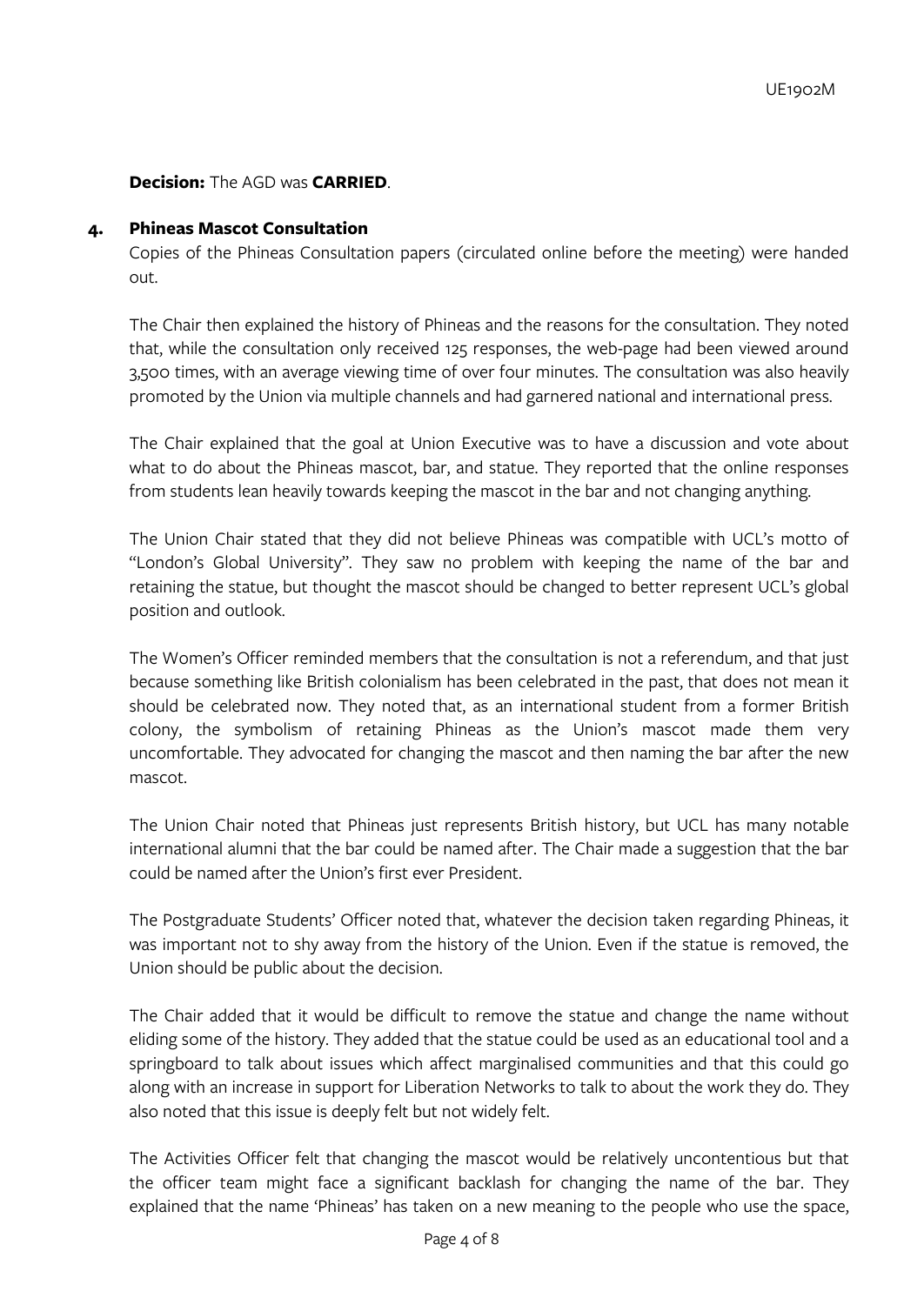## **Decision:** The AGD was **CARRIED**.

#### **4. Phineas Mascot Consultation**

Copies of the Phineas Consultation papers (circulated online before the meeting) were handed out.

The Chair then explained the history of Phineas and the reasons for the consultation. They noted that, while the consultation only received 125 responses, the web-page had been viewed around 3,500 times, with an average viewing time of over four minutes. The consultation was also heavily promoted by the Union via multiple channels and had garnered national and international press.

The Chair explained that the goal at Union Executive was to have a discussion and vote about what to do about the Phineas mascot, bar, and statue. They reported that the online responses from students lean heavily towards keeping the mascot in the bar and not changing anything.

The Union Chair stated that they did not believe Phineas was compatible with UCL's motto of "London's Global University". They saw no problem with keeping the name of the bar and retaining the statue, but thought the mascot should be changed to better represent UCL's global position and outlook.

The Women's Officer reminded members that the consultation is not a referendum, and that just because something like British colonialism has been celebrated in the past, that does not mean it should be celebrated now. They noted that, as an international student from a former British colony, the symbolism of retaining Phineas as the Union's mascot made them very uncomfortable. They advocated for changing the mascot and then naming the bar after the new mascot.

The Union Chair noted that Phineas just represents British history, but UCL has many notable international alumni that the bar could be named after. The Chair made a suggestion that the bar could be named after the Union's first ever President.

The Postgraduate Students' Officer noted that, whatever the decision taken regarding Phineas, it was important not to shy away from the history of the Union. Even if the statue is removed, the Union should be public about the decision.

The Chair added that it would be difficult to remove the statue and change the name without eliding some of the history. They added that the statue could be used as an educational tool and a springboard to talk about issues which affect marginalised communities and that this could go along with an increase in support for Liberation Networks to talk to about the work they do. They also noted that this issue is deeply felt but not widely felt.

The Activities Officer felt that changing the mascot would be relatively uncontentious but that the officer team might face a significant backlash for changing the name of the bar. They explained that the name 'Phineas' has taken on a new meaning to the people who use the space,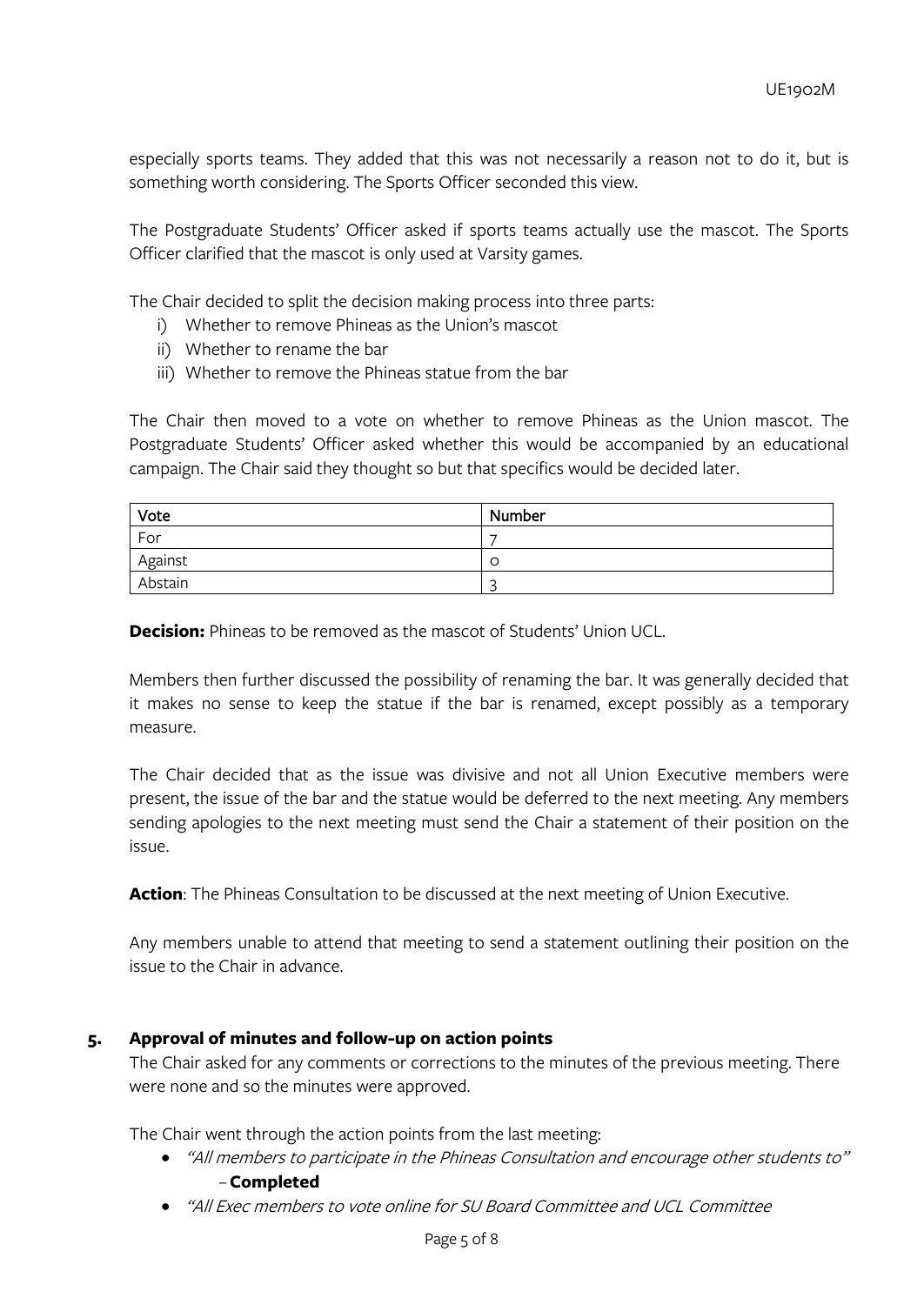especially sports teams. They added that this was not necessarily a reason not to do it, but is something worth considering. The Sports Officer seconded this view.

The Postgraduate Students' Officer asked if sports teams actually use the mascot. The Sports Officer clarified that the mascot is only used at Varsity games.

The Chair decided to split the decision making process into three parts:

- i) Whether to remove Phineas as the Union's mascot
- ii) Whether to rename the bar
- iii) Whether to remove the Phineas statue from the bar

The Chair then moved to a vote on whether to remove Phineas as the Union mascot. The Postgraduate Students' Officer asked whether this would be accompanied by an educational campaign. The Chair said they thought so but that specifics would be decided later.

| Vote    | Number |
|---------|--------|
| For     |        |
| Against | C      |
| Abstain | ∽      |

**Decision:** Phineas to be removed as the mascot of Students' Union UCL.

Members then further discussed the possibility of renaming the bar. It was generally decided that it makes no sense to keep the statue if the bar is renamed, except possibly as a temporary measure.

The Chair decided that as the issue was divisive and not all Union Executive members were present, the issue of the bar and the statue would be deferred to the next meeting. Any members sending apologies to the next meeting must send the Chair a statement of their position on the issue.

**Action**: The Phineas Consultation to be discussed at the next meeting of Union Executive.

Any members unable to attend that meeting to send a statement outlining their position on the issue to the Chair in advance.

#### **5. Approval of minutes and follow-up on action points**

The Chair asked for any comments or corrections to the minutes of the previous meeting. There were none and so the minutes were approved.

The Chair went through the action points from the last meeting:

- "All members to participate in the Phineas Consultation and encourage other students to" – **Completed**
- "All Exec members to vote online for SU Board Committee and UCL Committee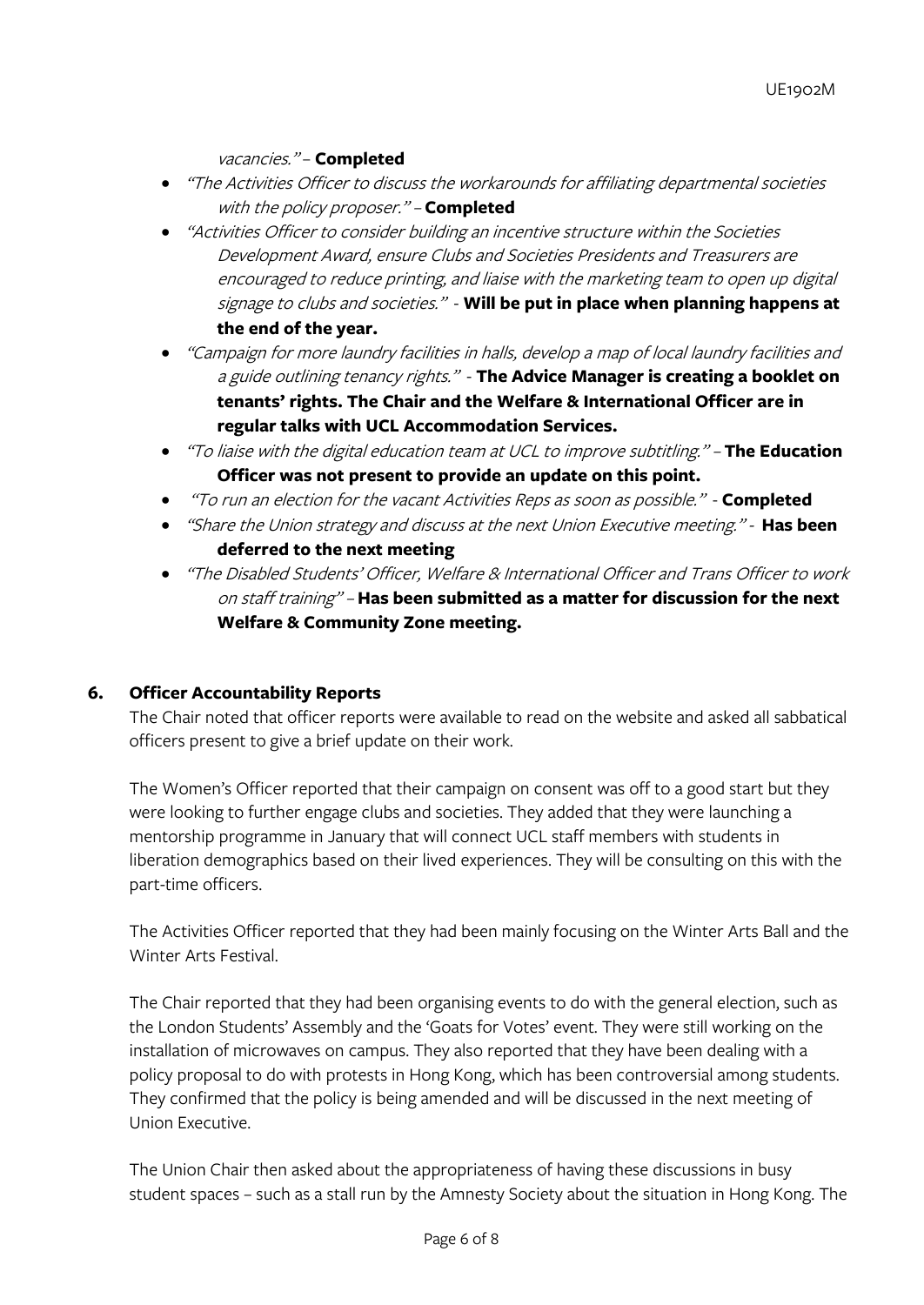## vacancies." – **Completed**

- "The Activities Officer to discuss the workarounds for affiliating departmental societies with the policy proposer." – **Completed**
- "Activities Officer to consider building an incentive structure within the Societies Development Award, ensure Clubs and Societies Presidents and Treasurers are encouraged to reduce printing, and liaise with the marketing team to open up digital signage to clubs and societies." - **Will be put in place when planning happens at the end of the year.**
- "Campaign for more laundry facilities in halls, develop a map of local laundry facilities and a guide outlining tenancy rights." - **The Advice Manager is creating a booklet on tenants' rights. The Chair and the Welfare & International Officer are in regular talks with UCL Accommodation Services.**
- "To liaise with the digital education team at UCL to improve subtitling." **The Education Officer was not present to provide an update on this point.**
- "To run an election for the vacant Activities Reps as soon as possible." **Completed**
- "Share the Union strategy and discuss at the next Union Executive meeting." **Has been deferred to the next meeting**
- "The Disabled Students' Officer, Welfare & International Officer and Trans Officer to work on staff training" – **Has been submitted as a matter for discussion for the next Welfare & Community Zone meeting.**

# **6. Officer Accountability Reports**

The Chair noted that officer reports were available to read on the website and asked all sabbatical officers present to give a brief update on their work.

The Women's Officer reported that their campaign on consent was off to a good start but they were looking to further engage clubs and societies. They added that they were launching a mentorship programme in January that will connect UCL staff members with students in liberation demographics based on their lived experiences. They will be consulting on this with the part-time officers.

The Activities Officer reported that they had been mainly focusing on the Winter Arts Ball and the Winter Arts Festival.

The Chair reported that they had been organising events to do with the general election, such as the London Students' Assembly and the 'Goats for Votes' event. They were still working on the installation of microwaves on campus. They also reported that they have been dealing with a policy proposal to do with protests in Hong Kong, which has been controversial among students. They confirmed that the policy is being amended and will be discussed in the next meeting of Union Executive.

The Union Chair then asked about the appropriateness of having these discussions in busy student spaces – such as a stall run by the Amnesty Society about the situation in Hong Kong. The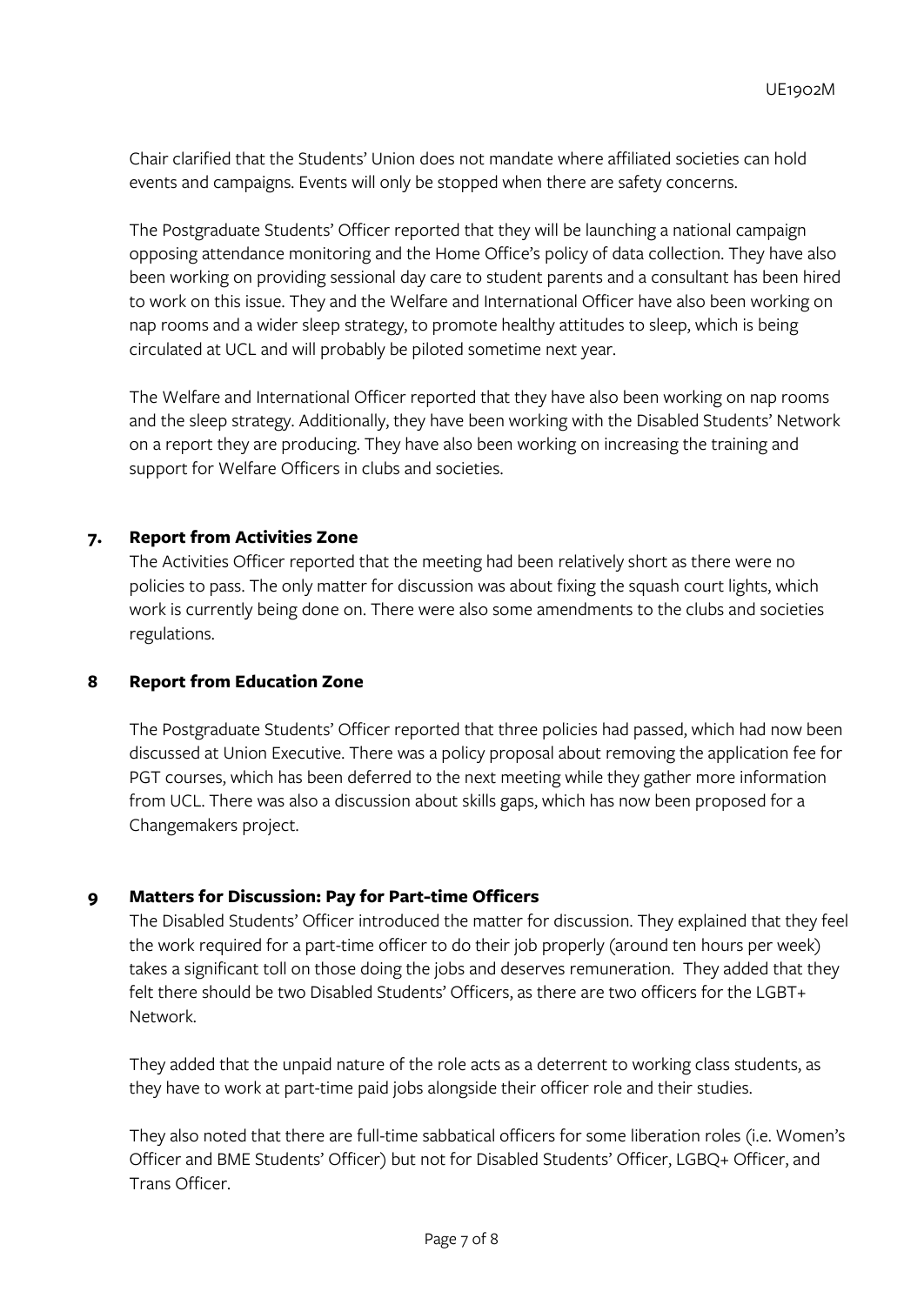Chair clarified that the Students' Union does not mandate where affiliated societies can hold events and campaigns. Events will only be stopped when there are safety concerns.

The Postgraduate Students' Officer reported that they will be launching a national campaign opposing attendance monitoring and the Home Office's policy of data collection. They have also been working on providing sessional day care to student parents and a consultant has been hired to work on this issue. They and the Welfare and International Officer have also been working on nap rooms and a wider sleep strategy, to promote healthy attitudes to sleep, which is being circulated at UCL and will probably be piloted sometime next year.

The Welfare and International Officer reported that they have also been working on nap rooms and the sleep strategy. Additionally, they have been working with the Disabled Students' Network on a report they are producing. They have also been working on increasing the training and support for Welfare Officers in clubs and societies.

### **7. Report from Activities Zone**

The Activities Officer reported that the meeting had been relatively short as there were no policies to pass. The only matter for discussion was about fixing the squash court lights, which work is currently being done on. There were also some amendments to the clubs and societies regulations.

### **8 Report from Education Zone**

The Postgraduate Students' Officer reported that three policies had passed, which had now been discussed at Union Executive. There was a policy proposal about removing the application fee for PGT courses, which has been deferred to the next meeting while they gather more information from UCL. There was also a discussion about skills gaps, which has now been proposed for a Changemakers project.

# **9 Matters for Discussion: Pay for Part-time Officers**

The Disabled Students' Officer introduced the matter for discussion. They explained that they feel the work required for a part-time officer to do their job properly (around ten hours per week) takes a significant toll on those doing the jobs and deserves remuneration. They added that they felt there should be two Disabled Students' Officers, as there are two officers for the LGBT+ Network.

They added that the unpaid nature of the role acts as a deterrent to working class students, as they have to work at part-time paid jobs alongside their officer role and their studies.

They also noted that there are full-time sabbatical officers for some liberation roles (i.e. Women's Officer and BME Students' Officer) but not for Disabled Students' Officer, LGBQ+ Officer, and Trans Officer.